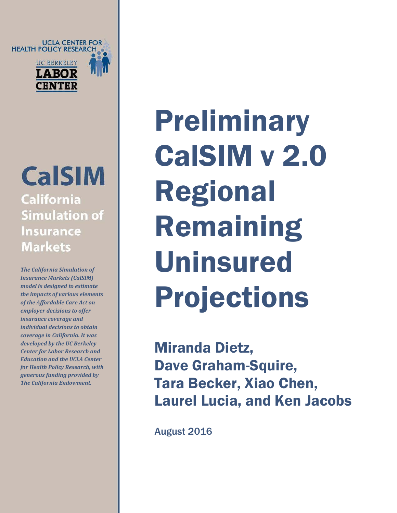UCLA CENTER FOR<br>• HEALTH POLICY RESEARCH **UC BERKELEY LABOR** 

**CENTEI** 

**CalSIM California Simulation of Insurance Markets** 

*The California Simulation of Insurance Markets (CalSIM) model is designed to estimate the impacts of various elements of the Affordable Care Act on employer decisions to offer insurance coverage and individual decisions to obtain coverage in California. It was developed by the UC Berkeley Center for Labor Research and Education and the UCLA Center for Health Policy Research, with generous funding provided by The California Endowment.*

Preliminary CalSIM v 2.0 Regional Remaining Uninsured Projections

Miranda Dietz, Dave Graham-Squire, Tara Becker, Xiao Chen, Laurel Lucia, and Ken Jacobs

August 2016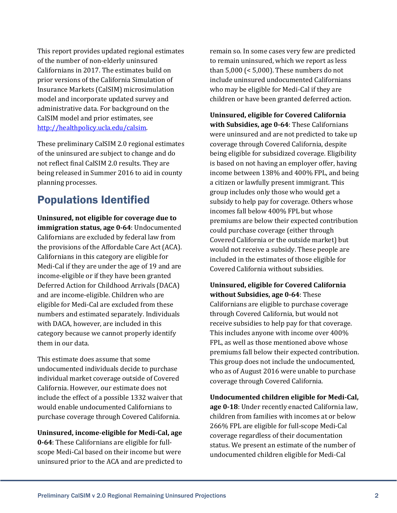This report provides updated regional estimates of the number of non-elderly uninsured Californians in 2017. The estimates build on prior versions of the California Simulation of Insurance Markets (CalSIM) microsimulation model and incorporate updated survey and administrative data. For background on the CalSIM model and prior estimates, see [http://healthpolicy.ucla.edu/calsim.](http://healthpolicy.ucla.edu/calsim)

These preliminary CalSIM 2.0 regional estimates of the uninsured are subject to change and do not reflect final CalSIM 2.0 results. They are being released in Summer 2016 to aid in county planning processes.

## Populations Identified

**Uninsured, not eligible for coverage due to immigration status, age 0-64**: Undocumented Californians are excluded by federal law from the provisions of the Affordable Care Act (ACA). Californians in this category are eligible for Medi-Cal if they are under the age of 19 and are income-eligible or if they have been granted Deferred Action for Childhood Arrivals (DACA) and are income-eligible. Children who are eligible for Medi-Cal are excluded from these numbers and estimated separately. Individuals with DACA, however, are included in this category because we cannot properly identify them in our data.

This estimate does assume that some undocumented individuals decide to purchase individual market coverage outside of Covered California. However, our estimate does not include the effect of a possible 1332 waiver that would enable undocumented Californians to purchase coverage through Covered California.

# **Uninsured, income-eligible for Medi-Cal, age**

**0-64**: These Californians are eligible for fullscope Medi-Cal based on their income but were uninsured prior to the ACA and are predicted to remain so. In some cases very few are predicted to remain uninsured, which we report as less than 5,000 (< 5,000). These numbers do not include uninsured undocumented Californians who may be eligible for Medi-Cal if they are children or have been granted deferred action.

**Uninsured, eligible for Covered California with Subsidies, age 0-64**: These Californians were uninsured and are not predicted to take up coverage through Covered California, despite being eligible for subsidized coverage. Eligibility is based on not having an employer offer, having income between 138% and 400% FPL, and being a citizen or lawfully present immigrant. This group includes only those who would get a subsidy to help pay for coverage. Others whose incomes fall below 400% FPL but whose premiums are below their expected contribution could purchase coverage (either through Covered California or the outside market) but would not receive a subsidy. These people are included in the estimates of those eligible for Covered California without subsidies.

#### **Uninsured, eligible for Covered California without Subsidies, age 0-64**: These

Californians are eligible to purchase coverage through Covered California, but would not receive subsidies to help pay for that coverage. This includes anyone with income over 400% FPL, as well as those mentioned above whose premiums fall below their expected contribution. This group does not include the undocumented, who as of August 2016 were unable to purchase coverage through Covered California.

**Undocumented children eligible for Medi-Cal, age 0-18**: Under recently enacted California law, children from families with incomes at or below 266% FPL are eligible for full-scope Medi-Cal coverage regardless of their documentation status. We present an estimate of the number of undocumented children eligible for Medi-Cal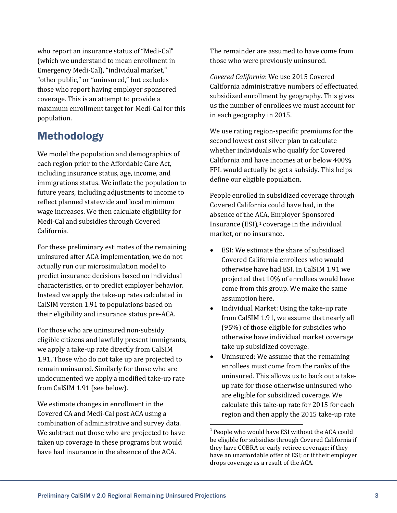who report an insurance status of "Medi-Cal" (which we understand to mean enrollment in Emergency Medi-Cal), "individual market," "other public," or "uninsured," but excludes those who report having employer sponsored coverage. This is an attempt to provide a maximum enrollment target for Medi-Cal for this population.

## Methodology

We model the population and demographics of each region prior to the Affordable Care Act, including insurance status, age, income, and immigrations status. We inflate the population to future years, including adjustments to income to reflect planned statewide and local minimum wage increases. We then calculate eligibility for Medi-Cal and subsidies through Covered California.

For these preliminary estimates of the remaining uninsured after ACA implementation, we do not actually run our microsimulation model to predict insurance decisions based on individual characteristics, or to predict employer behavior. Instead we apply the take-up rates calculated in CalSIM version 1.91 to populations based on their eligibility and insurance status pre-ACA.

For those who are uninsured non-subsidy eligible citizens and lawfully present immigrants, we apply a take-up rate directly from CalSIM 1.91. Those who do not take up are projected to remain uninsured. Similarly for those who are undocumented we apply a modified take-up rate from CalSIM 1.91 (see below).

<span id="page-2-0"></span>We estimate changes in enrollment in the Covered CA and Medi-Cal post ACA using a combination of administrative and survey data. We subtract out those who are projected to have taken up coverage in these programs but would have had insurance in the absence of the ACA.

The remainder are assumed to have come from those who were previously uninsured.

*Covered California*: We use 2015 Covered California administrative numbers of effectuated subsidized enrollment by geography. This gives us the number of enrollees we must account for in each geography in 2015.

We use rating region-specific premiums for the second lowest cost silver plan to calculate whether individuals who qualify for Covered California and have incomes at or below 400% FPL would actually be get a subsidy. This helps define our eligible population.

People enrolled in subsidized coverage through Covered California could have had, in the absence of the [AC](#page-2-0)A, Employer Sponsored Insurance  $(ESI)_1$  coverage in the individual market, or no insurance.

- ESI: We estimate the share of subsidized Covered California enrollees who would otherwise have had ESI. In CalSIM 1.91 we projected that 10% of enrollees would have come from this group. We make the same assumption here.
- Individual Market: Using the take-up rate from CalSIM 1.91, we assume that nearly all (95%) of those eligible for subsidies who otherwise have individual market coverage take up subsidized coverage.
- Uninsured: We assume that the remaining enrollees must come from the ranks of the uninsured. This allows us to back out a takeup rate for those otherwise uninsured who are eligible for subsidized coverage. We calculate this take-up rate for 2015 for each region and then apply the 2015 take-up rate

<sup>&</sup>lt;sup>1</sup> People who would have ESI without the ACA could be eligible for subsidies through Covered California if they have COBRA or early retiree coverage; if they have an unaffordable offer of ESI; or if their employer drops coverage as a result of the ACA.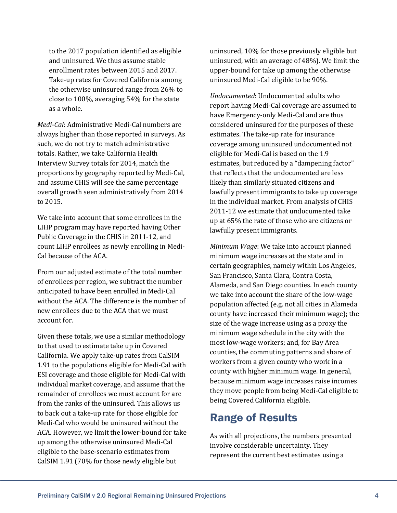to the 2017 population identified as eligible and uninsured. We thus assume stable enrollment rates between 2015 and 2017. Take-up rates for Covered California among the otherwise uninsured range from 26% to close to 100%, averaging 54% for the state as a whole.

*Medi-Cal*: Administrative Medi-Cal numbers are always higher than those reported in surveys. As such, we do not try to match administrative totals. Rather, we take California Health Interview Survey totals for 2014, match the proportions by geography reported by Medi-Cal, and assume CHIS will see the same percentage overall growth seen administratively from 2014 to 2015.

We take into account that some enrollees in the LIHP program may have reported having Other Public Coverage in the CHIS in 2011-12, and count LIHP enrollees as newly enrolling in Medi-Cal because of the ACA.

From our adjusted estimate of the total number of enrollees per region, we subtract the number anticipated to have been enrolled in Medi-Cal without the ACA. The difference is the number of new enrollees due to the ACA that we must account for.

Given these totals, we use a similar methodology to that used to estimate take up in Covered California. We apply take-up rates from CalSIM 1.91 to the populations eligible for Medi-Cal with ESI coverage and those eligible for Medi-Cal with individual market coverage, and assume that the remainder of enrollees we must account for are from the ranks of the uninsured. This allows us to back out a take-up rate for those eligible for Medi-Cal who would be uninsured without the ACA. However, we limit the lower-bound for take up among the otherwise uninsured Medi-Cal eligible to the base-scenario estimates from CalSIM 1.91 (70% for those newly eligible but

uninsured, 10% for those previously eligible but uninsured, with an average of 48%). We limit the upper-bound for take up among the otherwise uninsured Medi-Cal eligible to be 90%.

*Undocumented*: Undocumented adults who report having Medi-Cal coverage are assumed to have Emergency-only Medi-Cal and are thus considered uninsured for the purposes of these estimates. The take-up rate for insurance coverage among uninsured undocumented not eligible for Medi-Cal is based on the 1.9 estimates, but reduced by a "dampening factor" that reflects that the undocumented are less likely than similarly situated citizens and lawfully present immigrants to take up coverage in the individual market. From analysis of CHIS 2011-12 we estimate that undocumented take up at 65% the rate of those who are citizens or lawfully present immigrants.

*Minimum Wage*: We take into account planned minimum wage increases at the state and in certain geographies, namely within Los Angeles, San Francisco, Santa Clara, Contra Costa, Alameda, and San Diego counties. In each county we take into account the share of the low-wage population affected (e.g. not all cities in Alameda county have increased their minimum wage); the size of the wage increase using as a proxy the minimum wage schedule in the city with the most low-wage workers; and, for Bay Area counties, the commuting patterns and share of workers from a given county who work in a county with higher minimum wage. In general, because minimum wage increases raise incomes they move people from being Medi-Cal eligible to being Covered California eligible.

### Range of Results

As with all projections, the numbers presented involve considerable uncertainty. They represent the current best estimates using a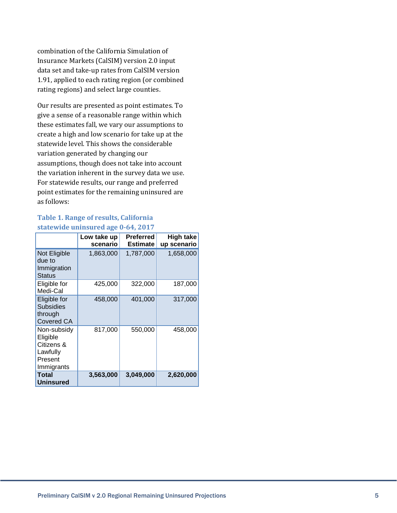combination of the California Simulation of Insurance Markets (CalSIM) version 2.0 input data set and take-up rates from CalSIM version 1.91, applied to each rating region (or combined rating regions) and select large counties.

Our results are presented as point estimates. To give a sense of a reasonable range within which these estimates fall, we vary our assumptions to create a high and low scenario for take up at the statewide level. This shows the considerable variation generated by changing our assumptions, though does not take into account the variation inherent in the survey data we use. For statewide results, our range and preferred point estimates for the remaining uninsured are as follows:

#### **Table 1. Range of results, California statewide uninsured age 0-64, 2017**

|                                                                            | Low take up<br>scenario | <b>Preferred</b><br><b>Estimate</b> | <b>High take</b><br>up scenario |
|----------------------------------------------------------------------------|-------------------------|-------------------------------------|---------------------------------|
| Not Eligible<br>due to<br>Immigration<br><b>Status</b>                     | 1,863,000               | 1,787,000                           | 1,658,000                       |
| Eligible for<br>Medi-Cal                                                   | 425,000                 | 322,000                             | 187,000                         |
| Eligible for<br><b>Subsidies</b><br>through<br><b>Covered CA</b>           | 458,000                 | 401,000                             | 317,000                         |
| Non-subsidy<br>Eligible<br>Citizens &<br>Lawfully<br>Present<br>Immigrants | 817,000                 | 550,000                             | 458,000                         |
| Total<br><b>Uninsured</b>                                                  | 3,563,000               | 3,049,000                           | 2,620,000                       |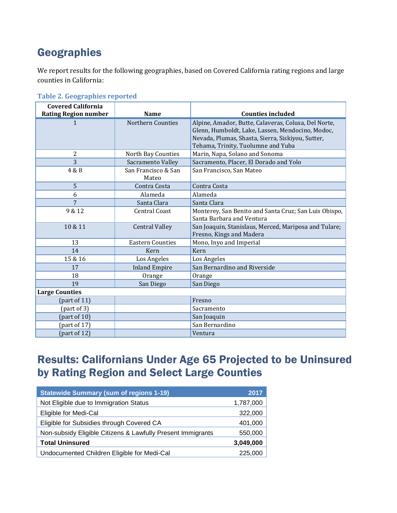# **Geographies**

We report results for the following geographies, based on Covered California rating regions and large counties in California:

| <b>Covered California</b>   |                         |                                                       |
|-----------------------------|-------------------------|-------------------------------------------------------|
| <b>Rating Region number</b> | <b>Name</b>             | <b>Counties included</b>                              |
| $\mathbf{1}$                | Northern Counties       | Alpine, Amador, Butte, Calaveras, Colusa, Del Norte,  |
|                             |                         | Glenn, Humboldt, Lake, Lassen, Mendocino, Modoc,      |
|                             |                         | Nevada, Plumas, Shasta, Sierra, Siskiyou, Sutter,     |
|                             |                         | Tehama, Trinity, Tuolumne and Yuba                    |
| 2                           | North Bay Counties      | Marin, Napa, Solano and Sonoma                        |
| 3                           | Sacramento Valley       | Sacramento, Placer, El Dorado and Yolo                |
| 4 & 8                       | San Francisco & San     | San Francisco, San Mateo                              |
|                             | Mateo                   |                                                       |
| 5                           | Contra Costa            | Contra Costa                                          |
| 6                           | Alameda                 | Alameda                                               |
| 7                           | Santa Clara             | Santa Clara                                           |
| 9 & 12                      | <b>Central Coast</b>    | Monterey, San Benito and Santa Cruz; San Luis Obispo, |
|                             |                         | Santa Barbara and Ventura                             |
| 10 & 11                     | <b>Central Valley</b>   | San Joaquin, Stanislaus, Merced, Mariposa and Tulare; |
|                             |                         | Fresno, Kings and Madera                              |
| 13                          | <b>Eastern Counties</b> | Mono, Inyo and Imperial                               |
| 14                          | Kern                    | Kern                                                  |
| 15 & 16                     | Los Angeles             | Los Angeles                                           |
| 17                          | <b>Inland Empire</b>    | San Bernardino and Riverside                          |
| 18                          | Orange                  | Orange                                                |
| 19                          | San Diego               | San Diego                                             |
| <b>Large Counties</b>       |                         |                                                       |
| (part of $11$ )             |                         | Fresno                                                |
| part of 3)                  |                         | Sacramento                                            |
| (part of $10$ )             |                         | San Joaquin                                           |
| (part of $17$ )             |                         | San Bernardino                                        |
| (part of $12$ )             |                         | Ventura                                               |

**Table 2. Geographies reported**

| <b>Statewide Summary (sum of regions 1-19)</b>              | 2017      |
|-------------------------------------------------------------|-----------|
| Not Eligible due to Immigration Status                      | 1,787,000 |
| Eligible for Medi-Cal                                       | 322,000   |
| Eligible for Subsidies through Covered CA                   | 401,000   |
| Non-subsidy Eligible Citizens & Lawfully Present Immigrants | 550,000   |
| <b>Total Uninsured</b>                                      | 3,049,000 |
| Undocumented Children Eligible for Medi-Cal                 | 225,000   |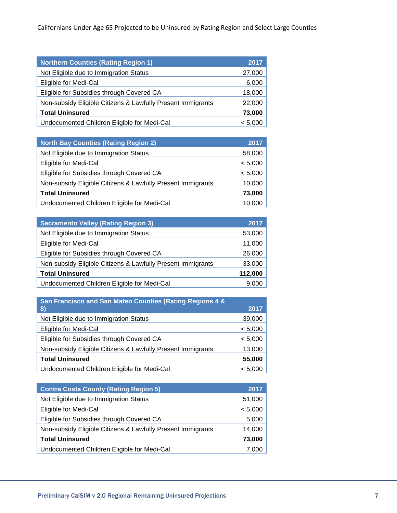| <b>Northern Counties (Rating Region 1)</b>                  | 2017    |
|-------------------------------------------------------------|---------|
| Not Eligible due to Immigration Status                      | 27,000  |
| Eligible for Medi-Cal                                       | 6,000   |
| Eligible for Subsidies through Covered CA                   | 18,000  |
| Non-subsidy Eligible Citizens & Lawfully Present Immigrants | 22,000  |
| <b>Total Uninsured</b>                                      | 73,000  |
| Undocumented Children Eligible for Medi-Cal                 | < 5,000 |

| <b>North Bay Counties (Rating Region 2)</b>                 | 2017    |
|-------------------------------------------------------------|---------|
| Not Eligible due to Immigration Status                      | 58,000  |
| Eligible for Medi-Cal                                       | < 5,000 |
| Eligible for Subsidies through Covered CA                   | < 5,000 |
| Non-subsidy Eligible Citizens & Lawfully Present Immigrants | 10,000  |
| <b>Total Uninsured</b>                                      | 73,000  |
| Undocumented Children Eligible for Medi-Cal                 | 10.0    |

| <b>Sacramento Valley (Rating Region 3)</b>                  | 2017    |
|-------------------------------------------------------------|---------|
| Not Eligible due to Immigration Status                      | 53,000  |
| Eligible for Medi-Cal                                       | 11,000  |
| Eligible for Subsidies through Covered CA                   | 26,000  |
| Non-subsidy Eligible Citizens & Lawfully Present Immigrants | 33,000  |
| <b>Total Uninsured</b>                                      | 112,000 |
| Undocumented Children Eligible for Medi-Cal                 | 9.000   |

| San Francisco and San Mateo Counties (Rating Regions 4 &    |         |
|-------------------------------------------------------------|---------|
| 8)                                                          | 2017    |
| Not Eligible due to Immigration Status                      | 39,000  |
| Eligible for Medi-Cal                                       | < 5,000 |
| Eligible for Subsidies through Covered CA                   | < 5,000 |
| Non-subsidy Eligible Citizens & Lawfully Present Immigrants | 13,000  |
| <b>Total Uninsured</b>                                      | 55,000  |
| Undocumented Children Eligible for Medi-Cal                 | < 5.000 |

| <b>Contra Costa County (Rating Region 5)</b>                | 2017    |
|-------------------------------------------------------------|---------|
| Not Eligible due to Immigration Status                      | 51,000  |
| Eligible for Medi-Cal                                       | < 5,000 |
| Eligible for Subsidies through Covered CA                   | 5,000   |
| Non-subsidy Eligible Citizens & Lawfully Present Immigrants | 14,000  |
| <b>Total Uninsured</b>                                      | 73,000  |
| Undocumented Children Eligible for Medi-Cal                 | 7.000   |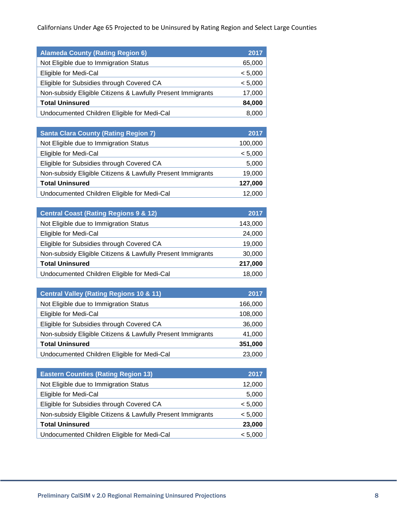| <b>Alameda County (Rating Region 6)</b>                     | 2017    |
|-------------------------------------------------------------|---------|
| Not Eligible due to Immigration Status                      | 65,000  |
| Eligible for Medi-Cal                                       | < 5,000 |
| Eligible for Subsidies through Covered CA                   | < 5,000 |
| Non-subsidy Eligible Citizens & Lawfully Present Immigrants | 17,000  |
| <b>Total Uninsured</b>                                      | 84,000  |
| Undocumented Children Eligible for Medi-Cal                 | 8.000   |

| <b>Santa Clara County (Rating Region 7)</b>                 | 2017    |
|-------------------------------------------------------------|---------|
| Not Eligible due to Immigration Status                      | 100,000 |
| Eligible for Medi-Cal                                       | < 5,000 |
| Eligible for Subsidies through Covered CA                   | 5,000   |
| Non-subsidy Eligible Citizens & Lawfully Present Immigrants | 19,000  |
| <b>Total Uninsured</b>                                      | 127,000 |
| Undocumented Children Eligible for Medi-Cal                 | 12.000  |

| <b>Central Coast (Rating Regions 9 &amp; 12)</b>            | 2017    |
|-------------------------------------------------------------|---------|
| Not Eligible due to Immigration Status                      | 143,000 |
| Eligible for Medi-Cal                                       | 24,000  |
| Eligible for Subsidies through Covered CA                   | 19,000  |
| Non-subsidy Eligible Citizens & Lawfully Present Immigrants | 30,000  |
| <b>Total Uninsured</b>                                      | 217,000 |
| Undocumented Children Eligible for Medi-Cal                 | 18,000  |

| <b>Central Valley (Rating Regions 10 &amp; 11)</b>          | 2017    |
|-------------------------------------------------------------|---------|
| Not Eligible due to Immigration Status                      | 166,000 |
| Eligible for Medi-Cal                                       | 108,000 |
| Eligible for Subsidies through Covered CA                   | 36,000  |
| Non-subsidy Eligible Citizens & Lawfully Present Immigrants | 41,000  |
| <b>Total Uninsured</b>                                      | 351,000 |
| Undocumented Children Eligible for Medi-Cal                 | 23,000  |

| <b>Eastern Counties (Rating Region 13)</b>                  | 2017    |
|-------------------------------------------------------------|---------|
| Not Eligible due to Immigration Status                      | 12,000  |
| Eligible for Medi-Cal                                       | 5,000   |
| Eligible for Subsidies through Covered CA                   | < 5,000 |
| Non-subsidy Eligible Citizens & Lawfully Present Immigrants | < 5,000 |
| <b>Total Uninsured</b>                                      | 23,000  |
| Undocumented Children Eligible for Medi-Cal                 | < 5.00  |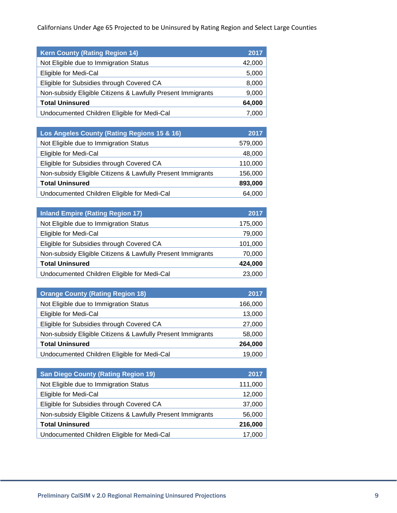| <b>Kern County (Rating Region 14)</b>                       | 2017   |
|-------------------------------------------------------------|--------|
| Not Eligible due to Immigration Status                      | 42,000 |
| Eligible for Medi-Cal                                       | 5,000  |
| Eligible for Subsidies through Covered CA                   | 8,000  |
| Non-subsidy Eligible Citizens & Lawfully Present Immigrants | 9,000  |
| <b>Total Uninsured</b>                                      | 64,000 |
| Undocumented Children Eligible for Medi-Cal                 | 7.00C  |

| Los Angeles County (Rating Regions 15 & 16)                 | 2017    |
|-------------------------------------------------------------|---------|
| Not Eligible due to Immigration Status                      | 579,000 |
| Eligible for Medi-Cal                                       | 48,000  |
| Eligible for Subsidies through Covered CA                   | 110,000 |
| Non-subsidy Eligible Citizens & Lawfully Present Immigrants | 156,000 |
| <b>Total Uninsured</b>                                      | 893,000 |
| Undocumented Children Eligible for Medi-Cal                 | 64.000  |

| <b>Inland Empire (Rating Region 17)</b>                     | 2017    |
|-------------------------------------------------------------|---------|
| Not Eligible due to Immigration Status                      | 175,000 |
| Eligible for Medi-Cal                                       | 79,000  |
| Eligible for Subsidies through Covered CA                   | 101,000 |
| Non-subsidy Eligible Citizens & Lawfully Present Immigrants | 70,000  |
| <b>Total Uninsured</b>                                      | 424,000 |
| Undocumented Children Eligible for Medi-Cal                 | 23,000  |

| <b>Orange County (Rating Region 18)</b>                     | 2017    |
|-------------------------------------------------------------|---------|
| Not Eligible due to Immigration Status                      | 166,000 |
| Eligible for Medi-Cal                                       | 13,000  |
| Eligible for Subsidies through Covered CA                   | 27,000  |
| Non-subsidy Eligible Citizens & Lawfully Present Immigrants | 58,000  |
| <b>Total Uninsured</b>                                      | 264,000 |
| Undocumented Children Eligible for Medi-Cal                 | 19.000  |

| <b>San Diego County (Rating Region 19)</b>                  | 2017    |
|-------------------------------------------------------------|---------|
| Not Eligible due to Immigration Status                      | 111,000 |
| Eligible for Medi-Cal                                       | 12,000  |
| Eligible for Subsidies through Covered CA                   | 37,000  |
| Non-subsidy Eligible Citizens & Lawfully Present Immigrants | 56,000  |
| <b>Total Uninsured</b>                                      | 216,000 |
| Undocumented Children Eligible for Medi-Cal                 |         |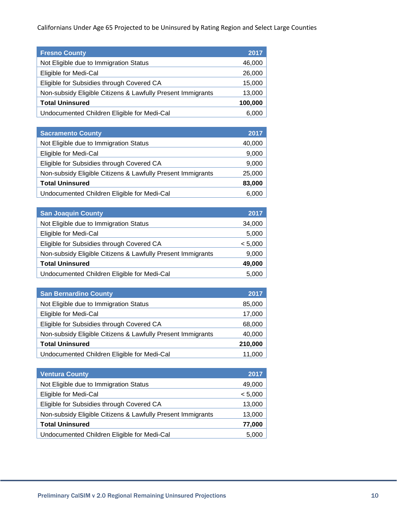| <b>Fresno County</b>                                        | 2017    |
|-------------------------------------------------------------|---------|
| Not Eligible due to Immigration Status                      | 46,000  |
| Eligible for Medi-Cal                                       | 26,000  |
| Eligible for Subsidies through Covered CA                   | 15,000  |
| Non-subsidy Eligible Citizens & Lawfully Present Immigrants | 13,000  |
| <b>Total Uninsured</b>                                      | 100,000 |
| Undocumented Children Eligible for Medi-Cal                 | 6.000   |

| <b>Sacramento County</b>                                    | 2017   |
|-------------------------------------------------------------|--------|
| Not Eligible due to Immigration Status                      | 40,000 |
| Eligible for Medi-Cal                                       | 9,000  |
| Eligible for Subsidies through Covered CA                   | 9,000  |
| Non-subsidy Eligible Citizens & Lawfully Present Immigrants | 25,000 |
| <b>Total Uninsured</b>                                      | 83,000 |
| Undocumented Children Eligible for Medi-Cal                 | 6.000  |

| <b>San Joaquin County</b>                                   | 2017    |
|-------------------------------------------------------------|---------|
| Not Eligible due to Immigration Status                      | 34,000  |
| Eligible for Medi-Cal                                       | 5,000   |
| Eligible for Subsidies through Covered CA                   | < 5,000 |
| Non-subsidy Eligible Citizens & Lawfully Present Immigrants | 9,000   |
| <b>Total Uninsured</b>                                      | 49,000  |
| Undocumented Children Eligible for Medi-Cal                 | 5.000   |

| <b>San Bernardino County</b>                                | 2017    |
|-------------------------------------------------------------|---------|
| Not Eligible due to Immigration Status                      | 85,000  |
| Eligible for Medi-Cal                                       | 17,000  |
| Eligible for Subsidies through Covered CA                   | 68,000  |
| Non-subsidy Eligible Citizens & Lawfully Present Immigrants | 40,000  |
| <b>Total Uninsured</b>                                      | 210,000 |
| Undocumented Children Eligible for Medi-Cal                 | 11,000  |

| <b>Ventura County</b>                                       | 2017    |
|-------------------------------------------------------------|---------|
| Not Eligible due to Immigration Status                      | 49,000  |
| Eligible for Medi-Cal                                       | < 5,000 |
| Eligible for Subsidies through Covered CA                   | 13,000  |
| Non-subsidy Eligible Citizens & Lawfully Present Immigrants | 13,000  |
| <b>Total Uninsured</b>                                      | 77,000  |
| Undocumented Children Eligible for Medi-Cal                 | 5.000   |